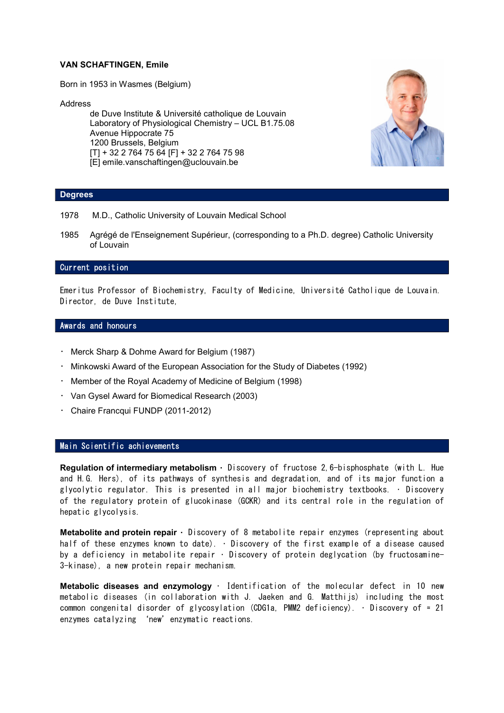# VAN SCHAFTINGEN, Emile

Born in 1953 in Wasmes (Belgium)

#### Address

de Duve Institute & Université catholique de Louvain Laboratory of Physiological Chemistry – UCL B1.75.08 Avenue Hippocrate 75 1200 Brussels, Belgium [T] + 32 2 764 75 64 [F] + 32 2 764 75 98 [E] emile.vanschaftingen@uclouvain.be



## Degrees

- 1978 M.D., Catholic University of Louvain Medical School
- 1985 Agrégé de l'Enseignement Supérieur, (corresponding to a Ph.D. degree) Catholic University of Louvain

# Current position

Emeritus Professor of Biochemistry, Faculty of Medicine, Université Catholique de Louvain. Director, de Duve Institute,

### Awards and honours

- Merck Sharp & Dohme Award for Belgium (1987)
- Minkowski Award of the European Association for the Study of Diabetes (1992)
- Member of the Royal Academy of Medicine of Belgium (1998)
- Van Gysel Award for Biomedical Research (2003)
- Chaire Francqui FUNDP (2011-2012)

## Main Scientific achievements

Regulation of intermediary metabolism • Discovery of fructose 2,6-bisphosphate (with L. Hue and H.G. Hers), of its pathways of synthesis and degradation, and of its major function a glycolytic regulator. This is presented in all major biochemistry textbooks. • Discovery of the regulatory protein of glucokinase (GCKR) and its central role in the regulation of hepatic glycolysis.

Metabolite and protein repair  $\cdot$  Discovery of 8 metabolite repair enzymes (representing about half of these enzymes known to date). • Discovery of the first example of a disease caused by a deficiency in metabolite repair • Discovery of protein deglycation (by fructosamine-3-kinase), a new protein repair mechanism.

Metabolic diseases and enzymology • Identification of the molecular defect in 10 new metabolic diseases (in collaboration with J. Jaeken and G. Matthijs) including the most common congenital disorder of glycosylation (CDG1a, PMM2 deficiency). • Discovery of ≈ 21 enzymes catalyzing 'new'enzymatic reactions.